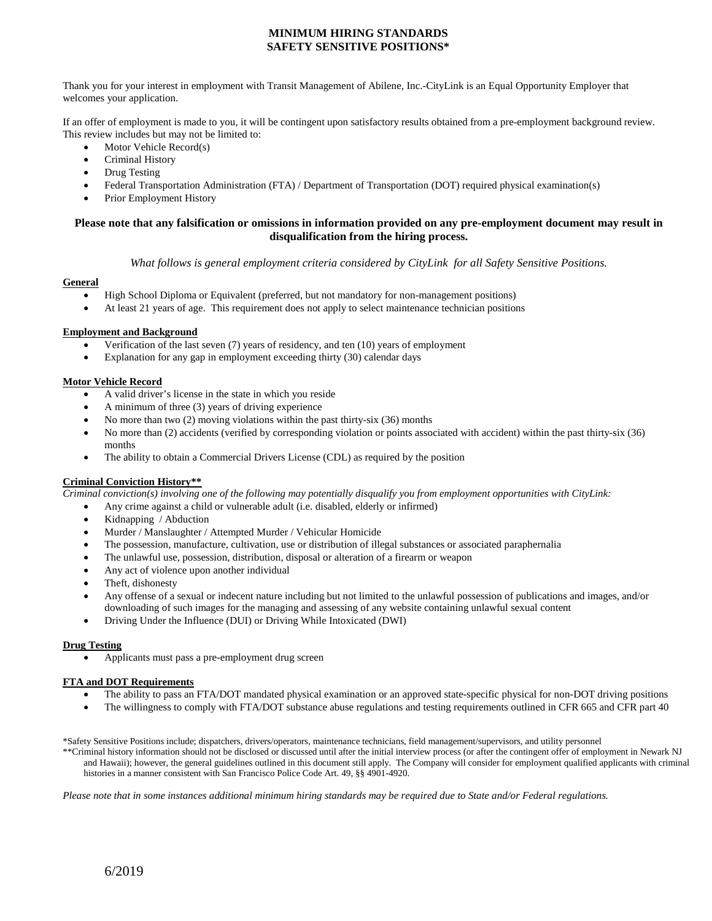#### **MINIMUM HIRING STANDARDS SAFETY SENSITIVE POSITIONS\***

Thank you for your interest in employment with Transit Management of Abilene, Inc.-CityLink is an Equal Opportunity Employer that welcomes your application.

If an offer of employment is made to you, it will be contingent upon satisfactory results obtained from a pre-employment background review. This review includes but may not be limited to:

- Motor Vehicle Record(s)
- Criminal History
- Drug Testing
- Federal Transportation Administration (FTA) / Department of Transportation (DOT) required physical examination(s)
- Prior Employment History

#### **Please note that any falsification or omissions in information provided on any pre-employment document may result in disqualification from the hiring process.**

*What follows is general employment criteria considered by CityLink for all Safety Sensitive Positions.*

#### **General**

- High School Diploma or Equivalent (preferred, but not mandatory for non-management positions)
- At least 21 years of age. This requirement does not apply to select maintenance technician positions

#### **Employment and Background**

- Verification of the last seven (7) years of residency, and ten (10) years of employment
- Explanation for any gap in employment exceeding thirty (30) calendar days

#### **Motor Vehicle Record**

- A valid driver's license in the state in which you reside
- A minimum of three (3) years of driving experience
- No more than two (2) moving violations within the past thirty-six (36) months
- No more than (2) accidents (verified by corresponding violation or points associated with accident) within the past thirty-six (36) months
- The ability to obtain a Commercial Drivers License (CDL) as required by the position

#### **Criminal Conviction History\*\***

*Criminal conviction(s) involving one of the following may potentially disqualify you from employment opportunities with CityLink:*

- Any crime against a child or vulnerable adult (i.e. disabled, elderly or infirmed)
- Kidnapping / Abduction
- Murder / Manslaughter / Attempted Murder / Vehicular Homicide
- The possession, manufacture, cultivation, use or distribution of illegal substances or associated paraphernalia
- The unlawful use, possession, distribution, disposal or alteration of a firearm or weapon
- Any act of violence upon another individual
- Theft, dishonesty
- Any offense of a sexual or indecent nature including but not limited to the unlawful possession of publications and images, and/or downloading of such images for the managing and assessing of any website containing unlawful sexual content
- Driving Under the Influence (DUI) or Driving While Intoxicated (DWI)

#### **Drug Testing**

• Applicants must pass a pre-employment drug screen

#### **FTA and DOT Requirements**

- The ability to pass an FTA/DOT mandated physical examination or an approved state-specific physical for non-DOT driving positions
- The willingness to comply with FTA/DOT substance abuse regulations and testing requirements outlined in CFR 665 and CFR part 40

\*Safety Sensitive Positions include; dispatchers, drivers/operators, maintenance technicians, field management/supervisors, and utility personnel

\*\*Criminal history information should not be disclosed or discussed until after the initial interview process (or after the contingent offer of employment in Newark NJ and Hawaii); however, the general guidelines outlined in this document still apply. The Company will consider for employment qualified applicants with criminal histories in a manner consistent with San Francisco Police Code Art. 49, §§ 4901-4920.

*Please note that in some instances additional minimum hiring standards may be required due to State and/or Federal regulations.*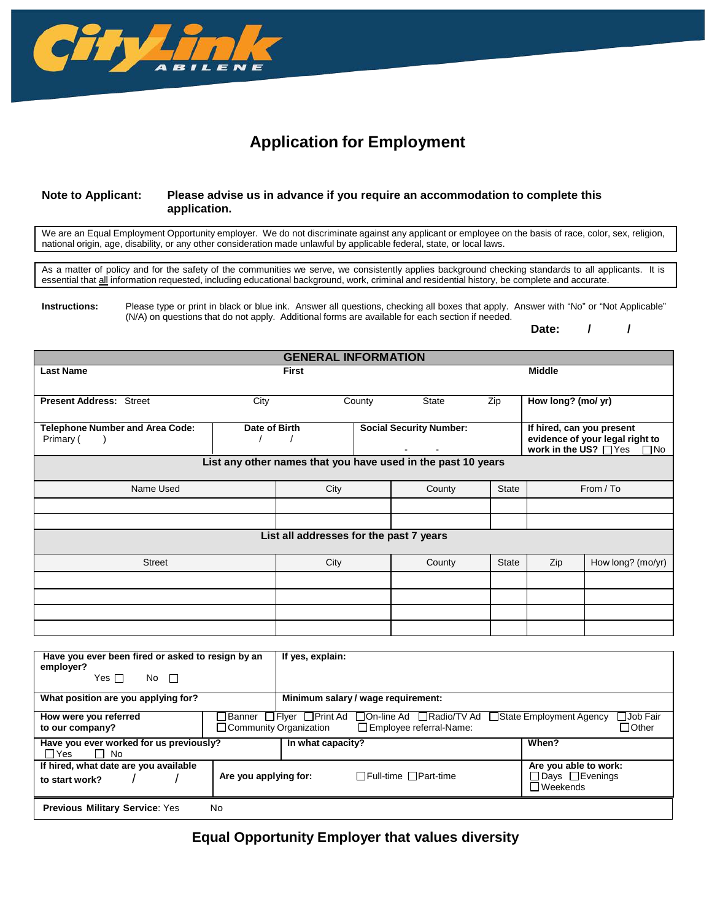

# **Application for Employment**

#### **Note to Applicant: Please advise us in advance if you require an accommodation to complete this application.**

We are an Equal Employment Opportunity employer. We do not discriminate against any applicant or employee on the basis of race, color, sex, religion, national origin, age, disability, or any other consideration made unlawful by applicable federal, state, or local laws.

As a matter of policy and for the safety of the communities we serve, we consistently applies background checking standards to all applicants. It is essential that all information requested, including educational background, work, criminal and residential history, be complete and accurate.

**Instructions:** Please type or print in black or blue ink. Answer all questions, checking all boxes that apply. Answer with "No" or "Not Applicable" (N/A) on questions that do not apply. Additional forms are available for each section if needed.

**Date: / /**

| <b>GENERAL INFORMATION</b>                                   |               |              |        |                                |              |                                                                      |                                                 |
|--------------------------------------------------------------|---------------|--------------|--------|--------------------------------|--------------|----------------------------------------------------------------------|-------------------------------------------------|
| <b>Last Name</b>                                             |               | <b>First</b> |        |                                |              | <b>Middle</b>                                                        |                                                 |
|                                                              |               |              |        |                                |              |                                                                      |                                                 |
| <b>Present Address: Street</b>                               | City          |              | County | <b>State</b>                   | Zip          | How long? (mo/ yr)                                                   |                                                 |
| <b>Telephone Number and Area Code:</b><br>Primary (          | Date of Birth |              |        | <b>Social Security Number:</b> |              | If hired, can you present<br>work in the $\overline{US?}$ $\Box$ Yes | evidence of your legal right to<br>$\square$ No |
| List any other names that you have used in the past 10 years |               |              |        |                                |              |                                                                      |                                                 |
| Name Used                                                    |               | City         |        | County                         | <b>State</b> |                                                                      | From / To                                       |
|                                                              |               |              |        |                                |              |                                                                      |                                                 |
|                                                              |               |              |        |                                |              |                                                                      |                                                 |
| List all addresses for the past 7 years                      |               |              |        |                                |              |                                                                      |                                                 |
| <b>Street</b>                                                |               | City         |        | County                         | <b>State</b> | Zip                                                                  | How long? (mo/yr)                               |
|                                                              |               |              |        |                                |              |                                                                      |                                                 |
|                                                              |               |              |        |                                |              |                                                                      |                                                 |
|                                                              |               |              |        |                                |              |                                                                      |                                                 |
|                                                              |               |              |        |                                |              |                                                                      |                                                 |

| Have you ever been fired or asked to resign by an<br>employer?<br>Yes $\Box$<br>$No$ $\Box$ | If yes, explain:                                                                                                                       |                                                               |  |  |
|---------------------------------------------------------------------------------------------|----------------------------------------------------------------------------------------------------------------------------------------|---------------------------------------------------------------|--|--|
| What position are you applying for?                                                         | Minimum salary / wage requirement:                                                                                                     |                                                               |  |  |
| How were you referred<br>to our company?                                                    | □ On-line Ad □ Radio/TV Ad □ State Employment Agency<br>Banner □ Flyer □ Print Ad<br>Community Organization<br>Employee referral-Name: | TJob Fair<br>$\Box$ Other                                     |  |  |
| Have you ever worked for us previously?<br>$\Box$ Yes<br>$\Box$ No                          | In what capacity?                                                                                                                      | When?                                                         |  |  |
| If hired, what date are you available<br>to start work?                                     | $\Box$ Full-time $\Box$ Part-time<br>Are you applying for:                                                                             | Are you able to work:<br>□ Days □ Evenings<br>$\Box$ Weekends |  |  |
| <b>Previous Military Service: Yes</b><br>No.                                                |                                                                                                                                        |                                                               |  |  |

**Equal Opportunity Employer that values diversity**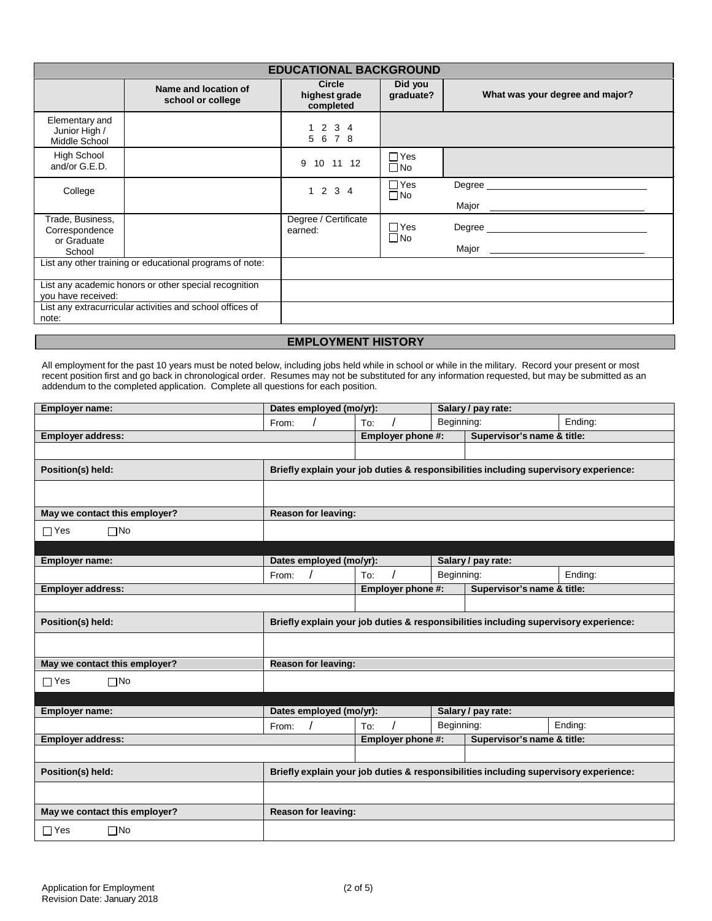|                                                             | <b>EDUCATIONAL BACKGROUND</b>                             |                                             |                            |                                 |  |  |
|-------------------------------------------------------------|-----------------------------------------------------------|---------------------------------------------|----------------------------|---------------------------------|--|--|
|                                                             | Name and location of<br>school or college                 | <b>Circle</b><br>highest grade<br>completed | Did you<br>graduate?       | What was your degree and major? |  |  |
| Elementary and<br>Junior High /<br>Middle School            |                                                           | 1234<br>5 6 7 8                             |                            |                                 |  |  |
| <b>High School</b><br>and/or G.E.D.                         |                                                           | 9 10 11 12                                  | $\Box$ Yes<br>$\Box$ No    |                                 |  |  |
| College                                                     |                                                           | 1234                                        | $\Box$ Yes<br>$\Box$ No    | Degree <b>Degree</b>            |  |  |
| Trade, Business,<br>Correspondence<br>or Graduate<br>School |                                                           | Degree / Certificate<br>earned:             | $\Box$ Yes<br>$\square$ No |                                 |  |  |
|                                                             | List any other training or educational programs of note:  |                                             |                            |                                 |  |  |
| you have received:                                          | List any academic honors or other special recognition     |                                             |                            |                                 |  |  |
| note:                                                       | List any extracurricular activities and school offices of |                                             |                            |                                 |  |  |
|                                                             |                                                           |                                             |                            |                                 |  |  |

## **EMPLOYMENT HISTORY**

All employment for the past 10 years must be noted below, including jobs held while in school or while in the military. Record your present or most recent position first and go back in chronological order. Resumes may not be substituted for any information requested, but may be submitted as an addendum to the completed application. Complete all questions for each position.

| <b>Employer name:</b>         | Dates employed (mo/yr):                                                              |                   |            | Salary / pay rate:         |                                                                                      |  |
|-------------------------------|--------------------------------------------------------------------------------------|-------------------|------------|----------------------------|--------------------------------------------------------------------------------------|--|
|                               | From:                                                                                | To:               | Beginning: |                            | Ending:                                                                              |  |
| <b>Employer address:</b>      |                                                                                      | Employer phone #: |            | Supervisor's name & title: |                                                                                      |  |
|                               |                                                                                      |                   |            |                            |                                                                                      |  |
| Position(s) held:             | Briefly explain your job duties & responsibilities including supervisory experience: |                   |            |                            |                                                                                      |  |
|                               |                                                                                      |                   |            |                            |                                                                                      |  |
| May we contact this employer? | <b>Reason for leaving:</b>                                                           |                   |            |                            |                                                                                      |  |
| $\square$ No<br>$\Box$ Yes    |                                                                                      |                   |            |                            |                                                                                      |  |
|                               |                                                                                      |                   |            |                            |                                                                                      |  |
| Employer name:                | Dates employed (mo/yr):                                                              |                   |            | Salary / pay rate:         |                                                                                      |  |
|                               | From:                                                                                | To:               | Beginning: |                            | Ending:                                                                              |  |
| <b>Employer address:</b>      |                                                                                      | Employer phone #: |            | Supervisor's name & title: |                                                                                      |  |
|                               |                                                                                      |                   |            |                            |                                                                                      |  |
| Position(s) held:             |                                                                                      |                   |            |                            | Briefly explain your job duties & responsibilities including supervisory experience: |  |
|                               |                                                                                      |                   |            |                            |                                                                                      |  |
| May we contact this employer? | <b>Reason for leaving:</b>                                                           |                   |            |                            |                                                                                      |  |
| $\square$ No<br>$\Box$ Yes    |                                                                                      |                   |            |                            |                                                                                      |  |
|                               |                                                                                      |                   |            |                            |                                                                                      |  |
| Employer name:                | Dates employed (mo/yr):                                                              |                   |            | Salary / pay rate:         |                                                                                      |  |
|                               | From:                                                                                | To:               | Beginning: |                            | Ending:                                                                              |  |
| <b>Employer address:</b>      |                                                                                      | Employer phone #: |            | Supervisor's name & title: |                                                                                      |  |
|                               |                                                                                      |                   |            |                            |                                                                                      |  |
| Position(s) held:             | Briefly explain your job duties & responsibilities including supervisory experience: |                   |            |                            |                                                                                      |  |
|                               |                                                                                      |                   |            |                            |                                                                                      |  |
| May we contact this employer? | <b>Reason for leaving:</b>                                                           |                   |            |                            |                                                                                      |  |
| $\square$ No<br>$\Box$ Yes    |                                                                                      |                   |            |                            |                                                                                      |  |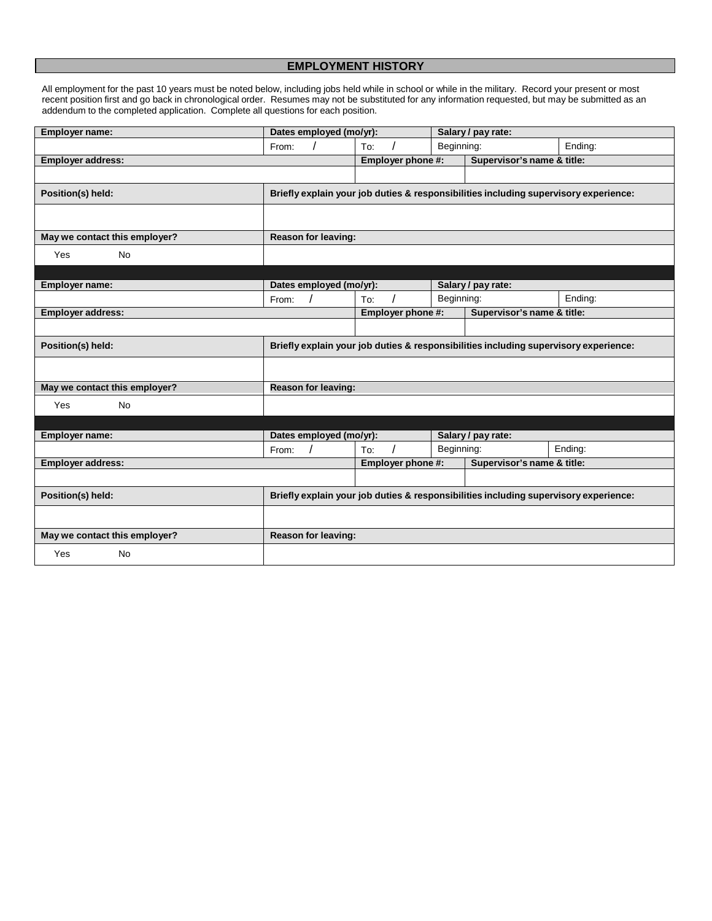## **EMPLOYMENT HISTORY**

All employment for the past 10 years must be noted below, including jobs held while in school or while in the military. Record your present or most recent position first and go back in chronological order. Resumes may not be substituted for any information requested, but may be submitted as an addendum to the completed application. Complete all questions for each position.

| Employer name:                | Dates employed (mo/yr):                                                              |                   |            | Salary / pay rate:         |                                                                                      |
|-------------------------------|--------------------------------------------------------------------------------------|-------------------|------------|----------------------------|--------------------------------------------------------------------------------------|
|                               | From:                                                                                | To:               | Beginning: |                            | Ending:                                                                              |
| <b>Employer address:</b>      |                                                                                      | Employer phone #: |            | Supervisor's name & title: |                                                                                      |
|                               |                                                                                      |                   |            |                            |                                                                                      |
| Position(s) held:             | Briefly explain your job duties & responsibilities including supervisory experience: |                   |            |                            |                                                                                      |
|                               |                                                                                      |                   |            |                            |                                                                                      |
| May we contact this employer? | <b>Reason for leaving:</b>                                                           |                   |            |                            |                                                                                      |
| <b>No</b><br>Yes              |                                                                                      |                   |            |                            |                                                                                      |
|                               |                                                                                      |                   |            |                            |                                                                                      |
| Employer name:                | Dates employed (mo/yr):                                                              |                   |            | Salary / pay rate:         |                                                                                      |
|                               | From:                                                                                | To:               | Beginning: |                            | Ending:                                                                              |
| <b>Employer address:</b>      |                                                                                      | Employer phone #: |            | Supervisor's name & title: |                                                                                      |
|                               |                                                                                      |                   |            |                            |                                                                                      |
| Position(s) held:             |                                                                                      |                   |            |                            | Briefly explain your job duties & responsibilities including supervisory experience: |
|                               |                                                                                      |                   |            |                            |                                                                                      |
| May we contact this employer? | <b>Reason for leaving:</b>                                                           |                   |            |                            |                                                                                      |
| Yes<br><b>No</b>              |                                                                                      |                   |            |                            |                                                                                      |
|                               |                                                                                      |                   |            |                            |                                                                                      |
| <b>Employer name:</b>         | Dates employed (mo/yr):                                                              |                   |            | Salary / pay rate:         |                                                                                      |
|                               | From:                                                                                | To:               | Beginning: |                            | Ending:                                                                              |
| <b>Employer address:</b>      |                                                                                      | Employer phone #: |            | Supervisor's name & title: |                                                                                      |
|                               |                                                                                      |                   |            |                            |                                                                                      |
| Position(s) held:             |                                                                                      |                   |            |                            | Briefly explain your job duties & responsibilities including supervisory experience: |
|                               |                                                                                      |                   |            |                            |                                                                                      |
| May we contact this employer? | <b>Reason for leaving:</b>                                                           |                   |            |                            |                                                                                      |
| <b>No</b><br>Yes              |                                                                                      |                   |            |                            |                                                                                      |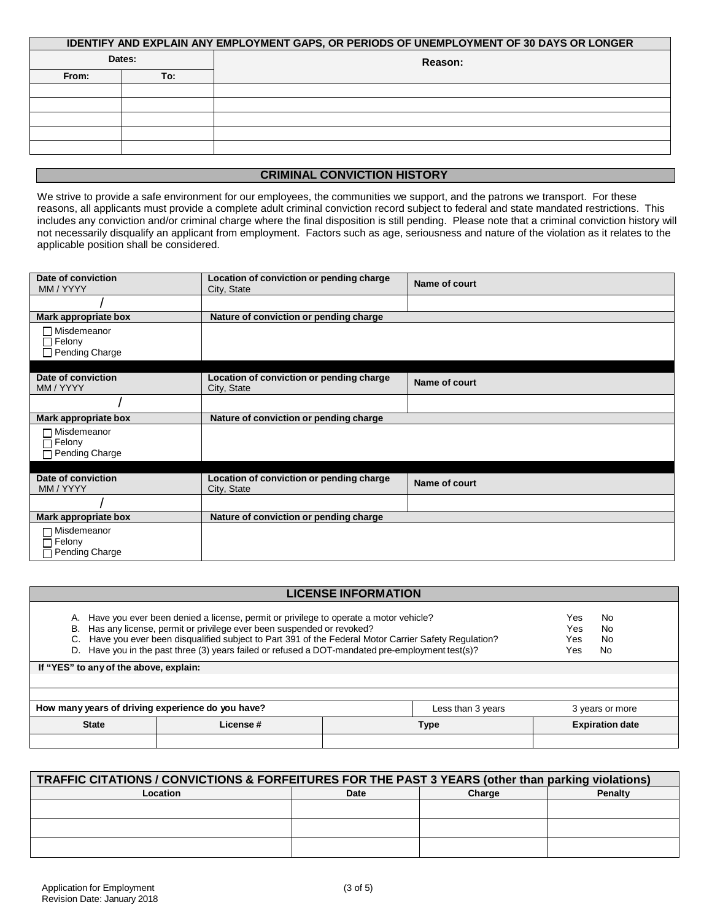| IDENTIFY AND EXPLAIN ANY EMPLOYMENT GAPS, OR PERIODS OF UNEMPLOYMENT OF 30 DAYS OR LONGER |     |         |  |  |
|-------------------------------------------------------------------------------------------|-----|---------|--|--|
| Dates:                                                                                    |     | Reason: |  |  |
| From:                                                                                     | To: |         |  |  |
|                                                                                           |     |         |  |  |
|                                                                                           |     |         |  |  |
|                                                                                           |     |         |  |  |
|                                                                                           |     |         |  |  |
|                                                                                           |     |         |  |  |
|                                                                                           |     |         |  |  |

## **CRIMINAL CONVICTION HISTORY**

We strive to provide a safe environment for our employees, the communities we support, and the patrons we transport. For these reasons, all applicants must provide a complete adult criminal conviction record subject to federal and state mandated restrictions. This includes any conviction and/or criminal charge where the final disposition is still pending. Please note that a criminal conviction history will not necessarily disqualify an applicant from employment. Factors such as age, seriousness and nature of the violation as it relates to the applicable position shall be considered.

| Date of conviction<br>MM / YYYY                    | Location of conviction or pending charge<br>City, State | Name of court |
|----------------------------------------------------|---------------------------------------------------------|---------------|
|                                                    |                                                         |               |
| Mark appropriate box                               | Nature of conviction or pending charge                  |               |
| □ Misdemeanor<br>$\Box$ Felony<br>□ Pending Charge |                                                         |               |
|                                                    |                                                         |               |
| Date of conviction<br>MM / YYYY                    | Location of conviction or pending charge<br>City, State | Name of court |
|                                                    |                                                         |               |
| Mark appropriate box                               | Nature of conviction or pending charge                  |               |
| □ Misdemeanor<br>コ Felony<br>$\Box$ Pending Charge |                                                         |               |
|                                                    |                                                         |               |
| Date of conviction<br>MM / YYYY                    | Location of conviction or pending charge<br>City, State | Name of court |
|                                                    |                                                         |               |
| Mark appropriate box                               | Nature of conviction or pending charge                  |               |
| □ Misdemeanor<br>コ Felony<br>Pending Charge        |                                                         |               |

|                                                                                           | <b>LICENSE INFORMATION</b>                                                                                                                                                                                                                                                                                                                                                                                                                                                       |      |                        |  |  |  |
|-------------------------------------------------------------------------------------------|----------------------------------------------------------------------------------------------------------------------------------------------------------------------------------------------------------------------------------------------------------------------------------------------------------------------------------------------------------------------------------------------------------------------------------------------------------------------------------|------|------------------------|--|--|--|
| В.                                                                                        | A. Have you ever been denied a license, permit or privilege to operate a motor vehicle?<br>No<br>Yes<br>Has any license, permit or privilege ever been suspended or revoked?<br><b>No</b><br>Yes.<br>Have you ever been disqualified subject to Part 391 of the Federal Motor Carrier Safety Regulation?<br>No<br>Yes<br>D. Have you in the past three (3) years failed or refused a DOT-mandated pre-employment test(s)?<br>No<br>Yes<br>If "YES" to any of the above, explain: |      |                        |  |  |  |
| How many years of driving experience do you have?<br>Less than 3 years<br>3 years or more |                                                                                                                                                                                                                                                                                                                                                                                                                                                                                  |      |                        |  |  |  |
| <b>State</b>                                                                              | <b>License#</b>                                                                                                                                                                                                                                                                                                                                                                                                                                                                  | Type | <b>Expiration date</b> |  |  |  |
|                                                                                           |                                                                                                                                                                                                                                                                                                                                                                                                                                                                                  |      |                        |  |  |  |

| TRAFFIC CITATIONS / CONVICTIONS & FORFEITURES FOR THE PAST 3 YEARS (other than parking violations) |      |        |                |  |  |
|----------------------------------------------------------------------------------------------------|------|--------|----------------|--|--|
| Location                                                                                           | Date | Charge | <b>Penalty</b> |  |  |
|                                                                                                    |      |        |                |  |  |
|                                                                                                    |      |        |                |  |  |
|                                                                                                    |      |        |                |  |  |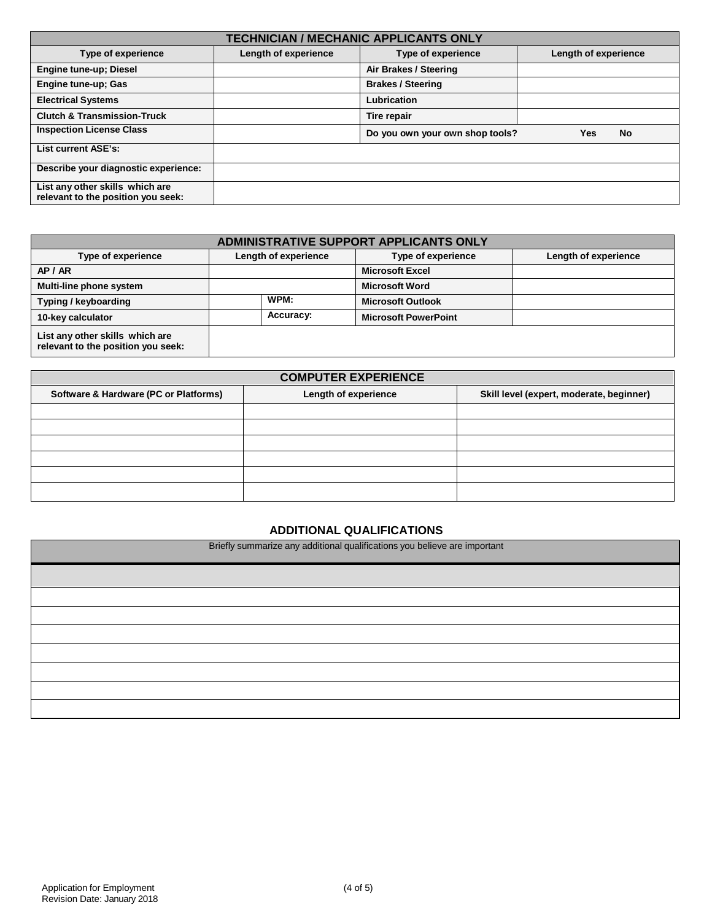| <b>TECHNICIAN / MECHANIC APPLICANTS ONLY</b>                          |                      |                                 |                      |  |
|-----------------------------------------------------------------------|----------------------|---------------------------------|----------------------|--|
| Type of experience                                                    | Length of experience | <b>Type of experience</b>       | Length of experience |  |
| <b>Engine tune-up; Diesel</b>                                         |                      | Air Brakes / Steering           |                      |  |
| Engine tune-up; Gas                                                   |                      | <b>Brakes / Steering</b>        |                      |  |
| <b>Electrical Systems</b>                                             |                      | Lubrication                     |                      |  |
| <b>Clutch &amp; Transmission-Truck</b>                                |                      | Tire repair                     |                      |  |
| <b>Inspection License Class</b>                                       |                      | Do you own your own shop tools? | No<br>Yes            |  |
| List current ASE's:                                                   |                      |                                 |                      |  |
| Describe your diagnostic experience:                                  |                      |                                 |                      |  |
| List any other skills which are<br>relevant to the position you seek: |                      |                                 |                      |  |

| ADMINISTRATIVE SUPPORT APPLICANTS ONLY                                |                      |                             |                      |  |
|-----------------------------------------------------------------------|----------------------|-----------------------------|----------------------|--|
| Type of experience                                                    | Length of experience | Type of experience          | Length of experience |  |
| AP / AR                                                               |                      | <b>Microsoft Excel</b>      |                      |  |
| Multi-line phone system                                               |                      | <b>Microsoft Word</b>       |                      |  |
| Typing / keyboarding                                                  | WPM:                 | <b>Microsoft Outlook</b>    |                      |  |
| 10-key calculator                                                     | Accuracy:            | <b>Microsoft PowerPoint</b> |                      |  |
| List any other skills which are<br>relevant to the position you seek: |                      |                             |                      |  |

| <b>COMPUTER EXPERIENCE</b>            |                      |                                          |  |  |
|---------------------------------------|----------------------|------------------------------------------|--|--|
| Software & Hardware (PC or Platforms) | Length of experience | Skill level (expert, moderate, beginner) |  |  |
|                                       |                      |                                          |  |  |
|                                       |                      |                                          |  |  |
|                                       |                      |                                          |  |  |
|                                       |                      |                                          |  |  |
|                                       |                      |                                          |  |  |
|                                       |                      |                                          |  |  |

## **ADDITIONAL QUALIFICATIONS**

Briefly summarize any additional qualifications you believe are important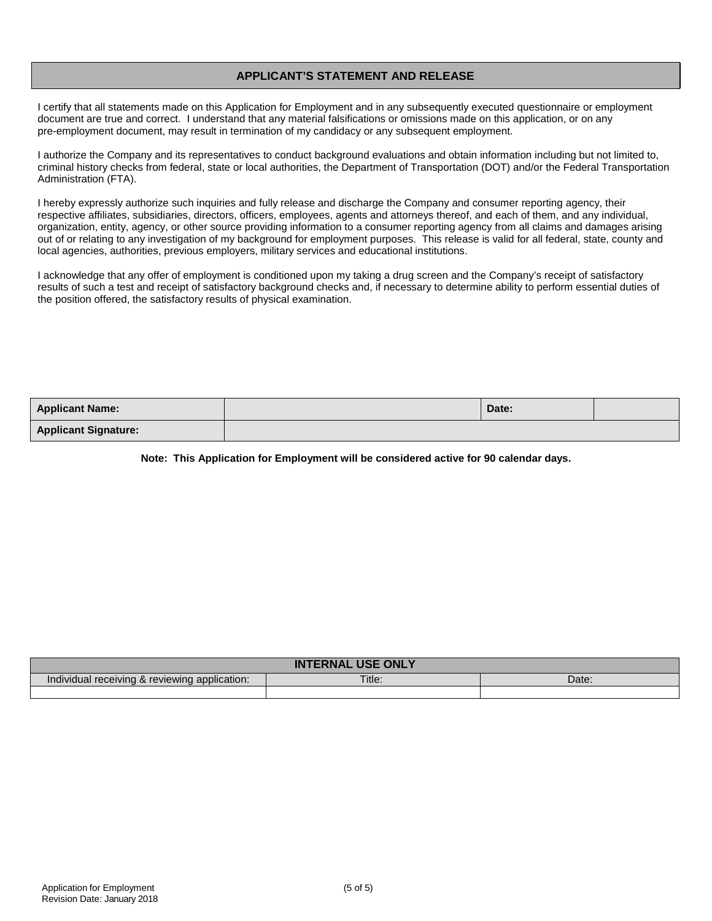## **APPLICANT'S STATEMENT AND RELEASE**

I certify that all statements made on this Application for Employment and in any subsequently executed questionnaire or employment document are true and correct. I understand that any material falsifications or omissions made on this application, or on any pre-employment document, may result in termination of my candidacy or any subsequent employment.

I authorize the Company and its representatives to conduct background evaluations and obtain information including but not limited to, criminal history checks from federal, state or local authorities, the Department of Transportation (DOT) and/or the Federal Transportation Administration (FTA).

I hereby expressly authorize such inquiries and fully release and discharge the Company and consumer reporting agency, their respective affiliates, subsidiaries, directors, officers, employees, agents and attorneys thereof, and each of them, and any individual, organization, entity, agency, or other source providing information to a consumer reporting agency from all claims and damages arising out of or relating to any investigation of my background for employment purposes. This release is valid for all federal, state, county and local agencies, authorities, previous employers, military services and educational institutions.

I acknowledge that any offer of employment is conditioned upon my taking a drug screen and the Company's receipt of satisfactory results of such a test and receipt of satisfactory background checks and, if necessary to determine ability to perform essential duties of the position offered, the satisfactory results of physical examination.

| <b>Applicant Name:</b>      | Date: |  |
|-----------------------------|-------|--|
| <b>Applicant Signature:</b> |       |  |

**Note: This Application for Employment will be considered active for 90 calendar days.**

| <b>ONLY</b><br>IN                                   |        |       |  |  |
|-----------------------------------------------------|--------|-------|--|--|
| Individual receiving &<br>reviewing<br>application: | Title. | Date: |  |  |
|                                                     |        |       |  |  |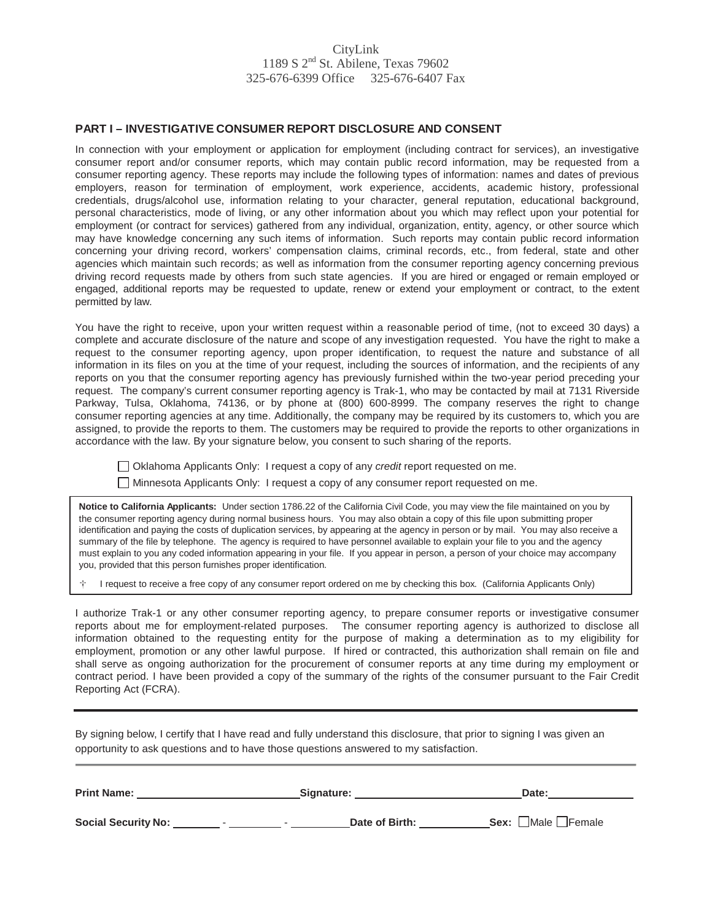## CityLink 1189 S 2nd St. Abilene, Texas 79602 325-676-6399 Office 325-676-6407 Fax

### **PART I – INVESTIGATIVE CONSUMER REPORT DISCLOSURE AND CONSENT**

In connection with your employment or application for employment (including contract for services), an investigative consumer report and/or consumer reports, which may contain public record information, may be requested from a consumer reporting agency. These reports may include the following types of information: names and dates of previous employers, reason for termination of employment, work experience, accidents, academic history, professional credentials, drugs/alcohol use, information relating to your character, general reputation, educational background, personal characteristics, mode of living, or any other information about you which may reflect upon your potential for employment (or contract for services) gathered from any individual, organization, entity, agency, or other source which may have knowledge concerning any such items of information. Such reports may contain public record information concerning your driving record, workers' compensation claims, criminal records, etc., from federal, state and other agencies which maintain such records; as well as information from the consumer reporting agency concerning previous driving record requests made by others from such state agencies. If you are hired or engaged or remain employed or engaged, additional reports may be requested to update, renew or extend your employment or contract, to the extent permitted by law.

You have the right to receive, upon your written request within a reasonable period of time, (not to exceed 30 days) a complete and accurate disclosure of the nature and scope of any investigation requested. You have the right to make a request to the consumer reporting agency, upon proper identification, to request the nature and substance of all information in its files on you at the time of your request, including the sources of information, and the recipients of any reports on you that the consumer reporting agency has previously furnished within the two-year period preceding your request. The company's current consumer reporting agency is Trak-1, who may be contacted by mail at 7131 Riverside Parkway, Tulsa, Oklahoma, 74136, or by phone at (800) 600-8999. The company reserves the right to change consumer reporting agencies at any time. Additionally, the company may be required by its customers to, which you are assigned, to provide the reports to them. The customers may be required to provide the reports to other organizations in accordance with the law. By your signature below, you consent to such sharing of the reports.

Oklahoma Applicants Only: I request a copy of any *credit* report requested on me.

Minnesota Applicants Only: I request a copy of any consumer report requested on me.

**Notice to California Applicants:** Under section 1786.22 of the California Civil Code, you may view the file maintained on you by the consumer reporting agency during normal business hours. You may also obtain a copy of this file upon submitting proper identification and paying the costs of duplication services, by appearing at the agency in person or by mail. You may also receive a summary of the file by telephone. The agency is required to have personnel available to explain your file to you and the agency must explain to you any coded information appearing in your file. If you appear in person, a person of your choice may accompany you, provided that this person furnishes proper identification.

<sup>I</sup> request to receive a free copy of any consumer report ordered on me by checking this box. (California Applicants Only)

I authorize Trak-1 or any other consumer reporting agency, to prepare consumer reports or investigative consumer reports about me for employment-related purposes. The consumer reporting agency is authorized to disclose all information obtained to the requesting entity for the purpose of making a determination as to my eligibility for employment, promotion or any other lawful purpose. If hired or contracted, this authorization shall remain on file and shall serve as ongoing authorization for the procurement of consumer reports at any time during my employment or contract period. I have been provided a copy of the summary of the rights of the consumer pursuant to the Fair Credit Reporting Act (FCRA).

By signing below, I certify that I have read and fully understand this disclosure, that prior to signing I was given an opportunity to ask questions and to have those questions answered to my satisfaction.

| <b>Print Name:</b>         | Signature:     | Date:                                 |
|----------------------------|----------------|---------------------------------------|
| <b>Social Security No:</b> | Date of Birth: | <b>Sex:</b> $\Box$ Male $\Box$ Female |